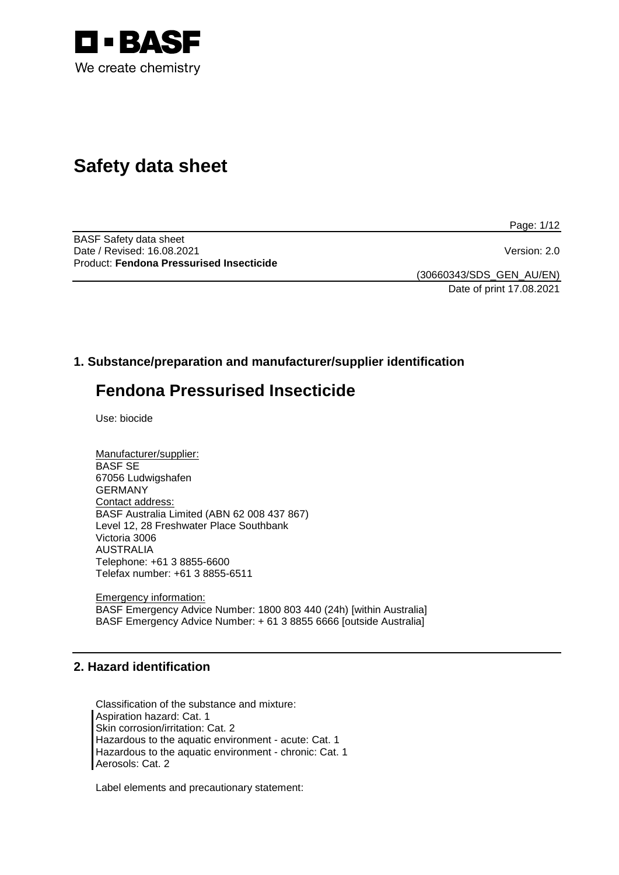

# **Safety data sheet**

Page: 1/12

BASF Safety data sheet Date / Revised: 16.08.2021 Version: 2.0 Product: **Fendona Pressurised Insecticide**

(30660343/SDS\_GEN\_AU/EN) Date of print 17.08.2021

# **1. Substance/preparation and manufacturer/supplier identification**

# **Fendona Pressurised Insecticide**

Use: biocide

| Manufacturer/supplier:                      |
|---------------------------------------------|
| <b>BASF SE</b>                              |
| 67056 Ludwigshafen                          |
| <b>GERMANY</b>                              |
| Contact address:                            |
| BASF Australia Limited (ABN 62 008 437 867) |
| Level 12, 28 Freshwater Place Southbank     |
| Victoria 3006                               |
| <b>AUSTRALIA</b>                            |
| Telephone: +61 3 8855-6600                  |
| Telefax number: +61 3 8855-6511             |

Emergency information: BASF Emergency Advice Number: 1800 803 440 (24h) [within Australia] BASF Emergency Advice Number: + 61 3 8855 6666 [outside Australia]

# **2. Hazard identification**

Classification of the substance and mixture: Aspiration hazard: Cat. 1 Skin corrosion/irritation: Cat. 2 Hazardous to the aquatic environment - acute: Cat. 1 Hazardous to the aquatic environment - chronic: Cat. 1 Aerosols: Cat. 2

Label elements and precautionary statement: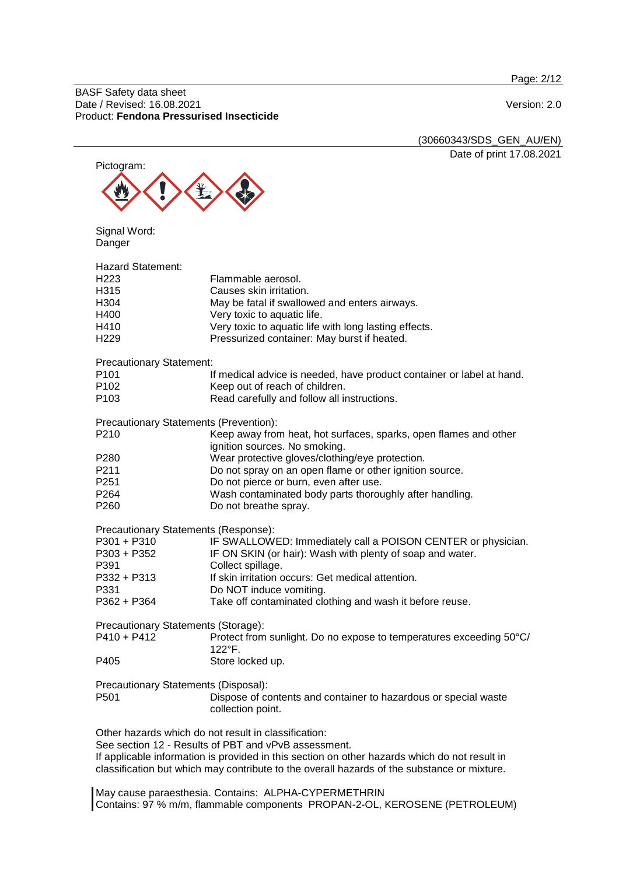Page: 2/12

BASF Safety data sheet Date / Revised: 16.08.2021 Version: 2.0 Product: **Fendona Pressurised Insecticide**

|                                        | (30660343/SDS_GEN_AU/EN)                                                                      |
|----------------------------------------|-----------------------------------------------------------------------------------------------|
|                                        | Date of print 17.08.2021                                                                      |
| Pictogram:                             |                                                                                               |
|                                        |                                                                                               |
|                                        |                                                                                               |
|                                        |                                                                                               |
|                                        |                                                                                               |
| Signal Word:                           |                                                                                               |
| Danger                                 |                                                                                               |
|                                        |                                                                                               |
| <b>Hazard Statement:</b>               |                                                                                               |
| H <sub>223</sub>                       | Flammable aerosol.                                                                            |
| H315                                   | Causes skin irritation.                                                                       |
| H304                                   | May be fatal if swallowed and enters airways.                                                 |
| H400                                   | Very toxic to aquatic life.                                                                   |
| H410                                   | Very toxic to aquatic life with long lasting effects.                                         |
| H <sub>229</sub>                       | Pressurized container: May burst if heated.                                                   |
|                                        |                                                                                               |
| <b>Precautionary Statement:</b>        |                                                                                               |
| P <sub>101</sub>                       | If medical advice is needed, have product container or label at hand.                         |
| P <sub>102</sub>                       | Keep out of reach of children.                                                                |
| P <sub>103</sub>                       | Read carefully and follow all instructions.                                                   |
|                                        |                                                                                               |
| Precautionary Statements (Prevention): |                                                                                               |
| P <sub>210</sub>                       | Keep away from heat, hot surfaces, sparks, open flames and other                              |
|                                        | ignition sources. No smoking.                                                                 |
| P <sub>280</sub>                       | Wear protective gloves/clothing/eye protection.                                               |
| P211                                   | Do not spray on an open flame or other ignition source.                                       |
| P251                                   | Do not pierce or burn, even after use.                                                        |
| P <sub>264</sub>                       | Wash contaminated body parts thoroughly after handling.                                       |
| P260                                   | Do not breathe spray.                                                                         |
|                                        |                                                                                               |
| Precautionary Statements (Response):   |                                                                                               |
| P301 + P310                            | IF SWALLOWED: Immediately call a POISON CENTER or physician.                                  |
| P303 + P352                            | IF ON SKIN (or hair): Wash with plenty of soap and water.                                     |
| P391                                   | Collect spillage.                                                                             |
| P332 + P313                            | If skin irritation occurs: Get medical attention.                                             |
| P331                                   | Do NOT induce vomiting.                                                                       |
| P362 + P364                            | Take off contaminated clothing and wash it before reuse.                                      |
|                                        |                                                                                               |
| Precautionary Statements (Storage):    |                                                                                               |
| $P410 + P412$                          | Protect from sunlight. Do no expose to temperatures exceeding 50°C/                           |
|                                        | $122^{\circ}$ F.                                                                              |
| P405                                   | Store locked up.                                                                              |
|                                        |                                                                                               |
| Precautionary Statements (Disposal):   |                                                                                               |
| P501                                   | Dispose of contents and container to hazardous or special waste                               |
|                                        | collection point.                                                                             |
|                                        |                                                                                               |
|                                        | Other hazards which do not result in classification:                                          |
|                                        | See section 12 - Results of PBT and vPvB assessment.                                          |
|                                        | If applicable information is provided in this section on other hazards which do not result in |
|                                        | classification but which may contribute to the overall hazards of the substance or mixture.   |
|                                        |                                                                                               |

May cause paraesthesia. Contains: ALPHA-CYPERMETHRIN Contains: 97 % m/m, flammable components PROPAN-2-OL, KEROSENE (PETROLEUM)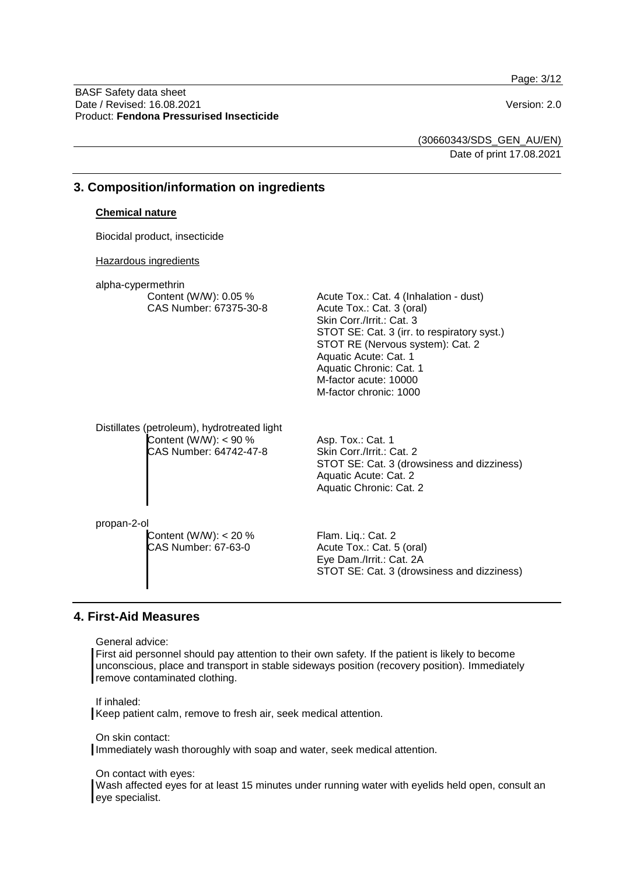Page: 3/12

BASF Safety data sheet Date / Revised: 16.08.2021 Version: 2.0 Product: **Fendona Pressurised Insecticide**

(30660343/SDS\_GEN\_AU/EN) Date of print 17.08.2021

| 3. Composition/information on ingredients |                                                                                                  |                                                                                                                                                                                                                                                                                            |
|-------------------------------------------|--------------------------------------------------------------------------------------------------|--------------------------------------------------------------------------------------------------------------------------------------------------------------------------------------------------------------------------------------------------------------------------------------------|
|                                           | <b>Chemical nature</b>                                                                           |                                                                                                                                                                                                                                                                                            |
|                                           | Biocidal product, insecticide                                                                    |                                                                                                                                                                                                                                                                                            |
|                                           | <b>Hazardous ingredients</b>                                                                     |                                                                                                                                                                                                                                                                                            |
|                                           | alpha-cypermethrin<br>Content (W/W): 0.05 %<br>CAS Number: 67375-30-8                            | Acute Tox.: Cat. 4 (Inhalation - dust)<br>Acute Tox.: Cat. 3 (oral)<br>Skin Corr./Irrit.: Cat. 3<br>STOT SE: Cat. 3 (irr. to respiratory syst.)<br>STOT RE (Nervous system): Cat. 2<br>Aquatic Acute: Cat. 1<br>Aquatic Chronic: Cat. 1<br>M-factor acute: 10000<br>M-factor chronic: 1000 |
|                                           | Distillates (petroleum), hydrotreated light<br>Content (W/W): $<$ 90 %<br>CAS Number: 64742-47-8 | Asp. Tox.: Cat. 1<br>Skin Corr./Irrit.: Cat. 2<br>STOT SE: Cat. 3 (drowsiness and dizziness)<br>Aquatic Acute: Cat. 2<br>Aquatic Chronic: Cat. 2                                                                                                                                           |
|                                           | propan-2-ol<br>Content (W/W): $<$ 20 %<br>CAS Number: 67-63-0                                    | Flam. Liq.: Cat. 2<br>Acute Tox.: Cat. 5 (oral)<br>Eye Dam./Irrit.: Cat. 2A<br>STOT SE: Cat. 3 (drowsiness and dizziness)                                                                                                                                                                  |

#### **4. First-Aid Measures**

General advice:

First aid personnel should pay attention to their own safety. If the patient is likely to become unconscious, place and transport in stable sideways position (recovery position). Immediately remove contaminated clothing.

If inhaled:

Keep patient calm, remove to fresh air, seek medical attention.

On skin contact:

Immediately wash thoroughly with soap and water, seek medical attention.

On contact with eyes:

Wash affected eyes for at least 15 minutes under running water with eyelids held open, consult an eye specialist.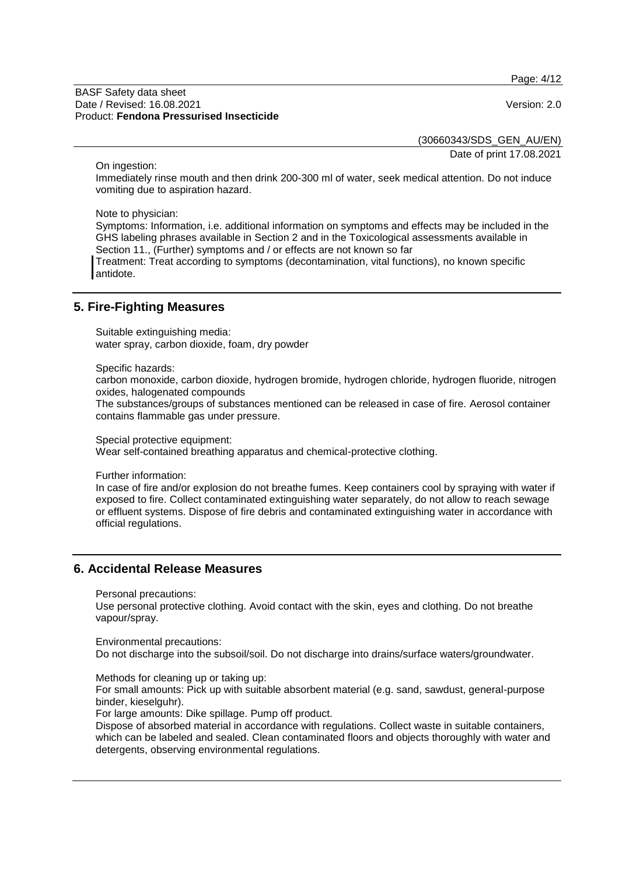Page: 4/12

#### BASF Safety data sheet Date / Revised: 16.08.2021 Version: 2.0 Product: **Fendona Pressurised Insecticide**

(30660343/SDS\_GEN\_AU/EN)

Date of print 17.08.2021

On ingestion:

Immediately rinse mouth and then drink 200-300 ml of water, seek medical attention. Do not induce vomiting due to aspiration hazard.

Note to physician:

Symptoms: Information, i.e. additional information on symptoms and effects may be included in the GHS labeling phrases available in Section 2 and in the Toxicological assessments available in Section 11., (Further) symptoms and / or effects are not known so far Treatment: Treat according to symptoms (decontamination, vital functions), no known specific

antidote.

## **5. Fire-Fighting Measures**

Suitable extinguishing media: water spray, carbon dioxide, foam, dry powder

Specific hazards:

carbon monoxide, carbon dioxide, hydrogen bromide, hydrogen chloride, hydrogen fluoride, nitrogen oxides, halogenated compounds

The substances/groups of substances mentioned can be released in case of fire. Aerosol container contains flammable gas under pressure.

Special protective equipment:

Wear self-contained breathing apparatus and chemical-protective clothing.

Further information:

In case of fire and/or explosion do not breathe fumes. Keep containers cool by spraying with water if exposed to fire. Collect contaminated extinguishing water separately, do not allow to reach sewage or effluent systems. Dispose of fire debris and contaminated extinguishing water in accordance with official regulations.

## **6. Accidental Release Measures**

Personal precautions:

Use personal protective clothing. Avoid contact with the skin, eyes and clothing. Do not breathe vapour/spray.

Environmental precautions:

Do not discharge into the subsoil/soil. Do not discharge into drains/surface waters/groundwater.

Methods for cleaning up or taking up:

For small amounts: Pick up with suitable absorbent material (e.g. sand, sawdust, general-purpose binder, kieselguhr).

For large amounts: Dike spillage. Pump off product.

Dispose of absorbed material in accordance with regulations. Collect waste in suitable containers, which can be labeled and sealed. Clean contaminated floors and objects thoroughly with water and detergents, observing environmental regulations.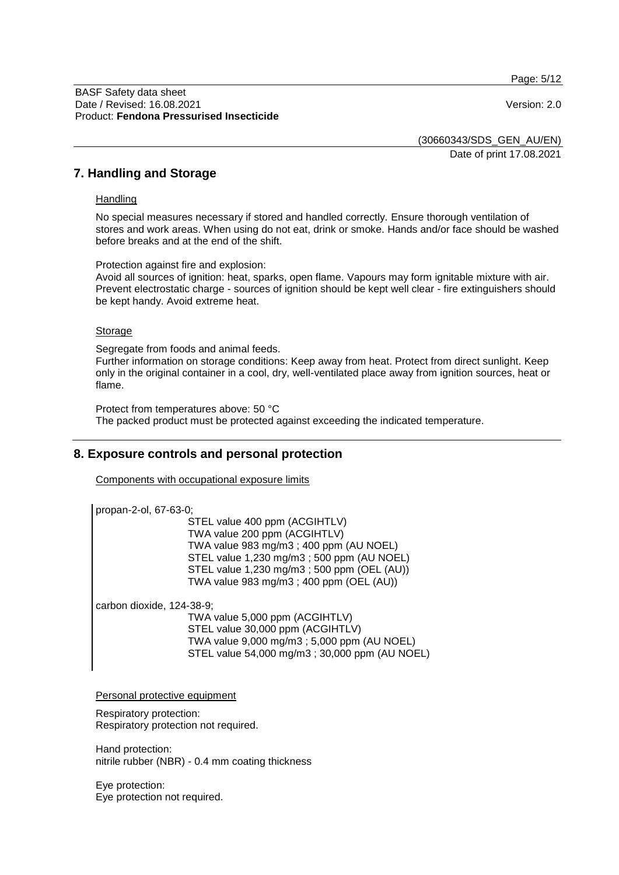Page: 5/12

#### BASF Safety data sheet Date / Revised: 16.08.2021 Version: 2.0 Product: **Fendona Pressurised Insecticide**

(30660343/SDS\_GEN\_AU/EN)

Date of print 17.08.2021

## **7. Handling and Storage**

#### **Handling**

No special measures necessary if stored and handled correctly. Ensure thorough ventilation of stores and work areas. When using do not eat, drink or smoke. Hands and/or face should be washed before breaks and at the end of the shift.

Protection against fire and explosion:

Avoid all sources of ignition: heat, sparks, open flame. Vapours may form ignitable mixture with air. Prevent electrostatic charge - sources of ignition should be kept well clear - fire extinguishers should be kept handy. Avoid extreme heat.

#### **Storage**

Segregate from foods and animal feeds.

Further information on storage conditions: Keep away from heat. Protect from direct sunlight. Keep only in the original container in a cool, dry, well-ventilated place away from ignition sources, heat or flame.

Protect from temperatures above: 50 °C The packed product must be protected against exceeding the indicated temperature.

## **8. Exposure controls and personal protection**

Components with occupational exposure limits

propan-2-ol, 67-63-0;

STEL value 400 ppm (ACGIHTLV) TWA value 200 ppm (ACGIHTLV) TWA value 983 mg/m3 ; 400 ppm (AU NOEL) STEL value 1,230 mg/m3 ; 500 ppm (AU NOEL) STEL value 1,230 mg/m3 ; 500 ppm (OEL (AU)) TWA value 983 mg/m3 ; 400 ppm (OEL (AU))

carbon dioxide, 124-38-9;

TWA value 5,000 ppm (ACGIHTLV) STEL value 30,000 ppm (ACGIHTLV) TWA value 9,000 mg/m3 ; 5,000 ppm (AU NOEL) STEL value 54,000 mg/m3 ; 30,000 ppm (AU NOEL)

Personal protective equipment

Respiratory protection: Respiratory protection not required.

Hand protection: nitrile rubber (NBR) - 0.4 mm coating thickness

Eye protection: Eye protection not required.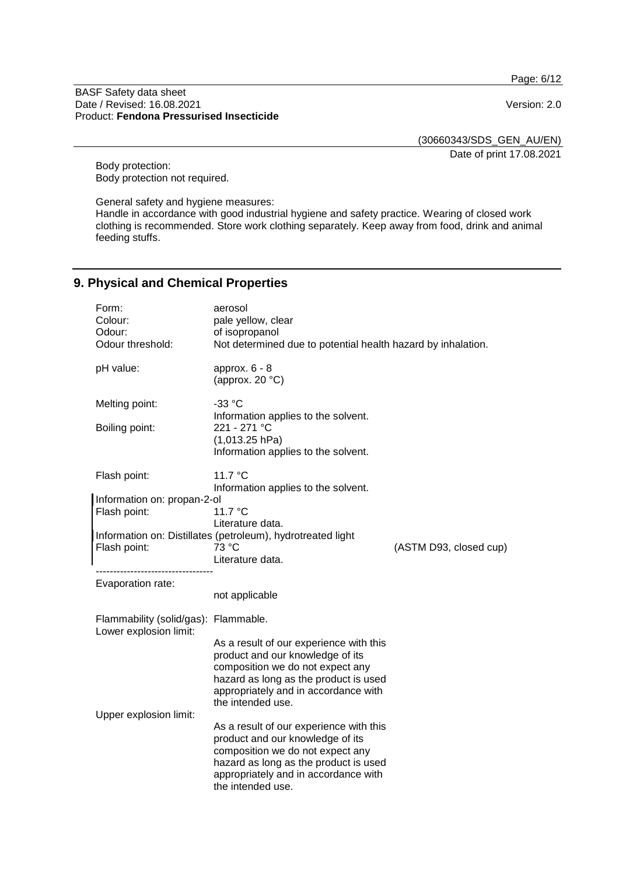Page: 6/12

#### BASF Safety data sheet Date / Revised: 16.08.2021 Version: 2.0 Product: **Fendona Pressurised Insecticide**

(30660343/SDS\_GEN\_AU/EN)

Date of print 17.08.2021

Body protection: Body protection not required.

General safety and hygiene measures:

Handle in accordance with good industrial hygiene and safety practice. Wearing of closed work clothing is recommended. Store work clothing separately. Keep away from food, drink and animal feeding stuffs.

# **9. Physical and Chemical Properties**

| Form:<br>Colour:<br>Odour:<br>Odour threshold:                 | aerosol<br>pale yellow, clear<br>of isopropanol<br>Not determined due to potential health hazard by inhalation.                                                                                                       |                        |
|----------------------------------------------------------------|-----------------------------------------------------------------------------------------------------------------------------------------------------------------------------------------------------------------------|------------------------|
| pH value:                                                      | approx. $6 - 8$<br>(approx. $20 °C$ )                                                                                                                                                                                 |                        |
| Melting point:<br>Boiling point:                               | $-33 °C$<br>Information applies to the solvent.<br>221 - 271 °C                                                                                                                                                       |                        |
|                                                                | $(1,013.25$ hPa)<br>Information applies to the solvent.                                                                                                                                                               |                        |
| Flash point:                                                   | 11.7 $\degree$ C<br>Information applies to the solvent.                                                                                                                                                               |                        |
| Information on: propan-2-ol                                    |                                                                                                                                                                                                                       |                        |
| Flash point:                                                   | 11.7 °C                                                                                                                                                                                                               |                        |
|                                                                | Literature data.                                                                                                                                                                                                      |                        |
| Flash point:                                                   | Information on: Distillates (petroleum), hydrotreated light<br>73 °C                                                                                                                                                  | (ASTM D93, closed cup) |
|                                                                | Literature data.                                                                                                                                                                                                      |                        |
|                                                                |                                                                                                                                                                                                                       |                        |
| Evaporation rate:                                              | not applicable                                                                                                                                                                                                        |                        |
| Flammability (solid/gas): Flammable.<br>Lower explosion limit: |                                                                                                                                                                                                                       |                        |
|                                                                | As a result of our experience with this<br>product and our knowledge of its<br>composition we do not expect any<br>hazard as long as the product is used<br>appropriately and in accordance with<br>the intended use. |                        |
| Upper explosion limit:                                         | As a result of our experience with this<br>product and our knowledge of its<br>composition we do not expect any<br>hazard as long as the product is used<br>appropriately and in accordance with<br>the intended use. |                        |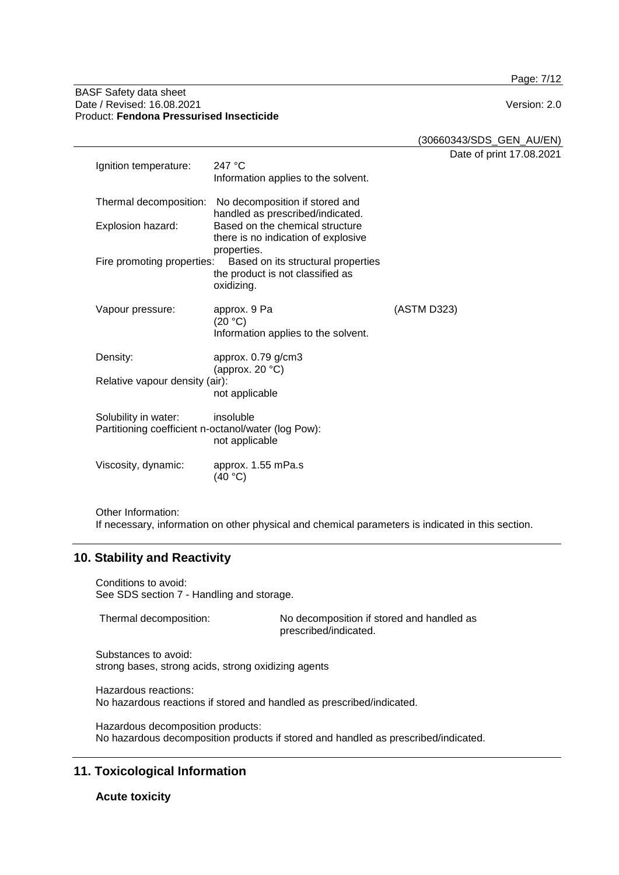Page: 7/12

#### BASF Safety data sheet Date / Revised: 16.08.2021 Version: 2.0 Product: **Fendona Pressurised Insecticide**

| (30660343/SDS_GEN_AU/EN) |
|--------------------------|
| Date of print 17.08.2021 |
|                          |

| Ignition temperature:                                                       | 247 $\degree$ C<br>Information applies to the solvent.                                              | Dale VI µ   |
|-----------------------------------------------------------------------------|-----------------------------------------------------------------------------------------------------|-------------|
| Thermal decomposition:                                                      | No decomposition if stored and<br>handled as prescribed/indicated.                                  |             |
| Explosion hazard:                                                           | Based on the chemical structure<br>there is no indication of explosive                              |             |
| Fire promoting properties:                                                  | properties.<br>Based on its structural properties<br>the product is not classified as<br>oxidizing. |             |
| Vapour pressure:                                                            | approx. 9 Pa<br>(20 °C)<br>Information applies to the solvent.                                      | (ASTM D323) |
| Density:                                                                    | approx. 0.79 g/cm3<br>(approx. 20 $°C$ )                                                            |             |
| Relative vapour density (air):                                              | not applicable                                                                                      |             |
| Solubility in water:<br>Partitioning coefficient n-octanol/water (log Pow): | insoluble<br>not applicable                                                                         |             |
| Viscosity, dynamic:                                                         | approx. 1.55 mPa.s<br>(40 °C)                                                                       |             |
|                                                                             |                                                                                                     |             |

Other Information: If necessary, information on other physical and chemical parameters is indicated in this section.

## **10. Stability and Reactivity**

Conditions to avoid: See SDS section 7 - Handling and storage.

| Thermal decomposition: | No decomposition if stored and handled as |
|------------------------|-------------------------------------------|
|                        | prescribed/indicated.                     |

Substances to avoid: strong bases, strong acids, strong oxidizing agents

Hazardous reactions: No hazardous reactions if stored and handled as prescribed/indicated.

Hazardous decomposition products: No hazardous decomposition products if stored and handled as prescribed/indicated.

# **11. Toxicological Information**

**Acute toxicity**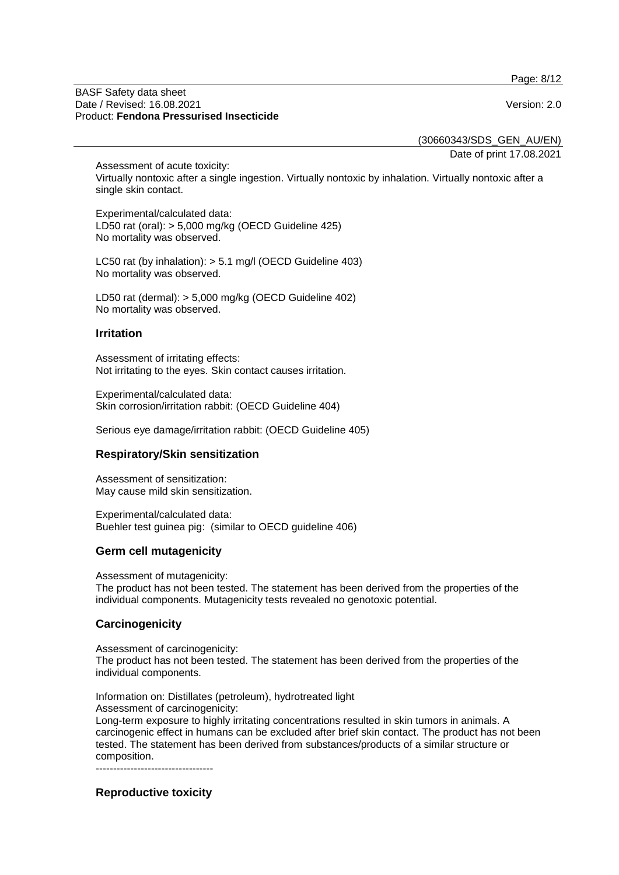Page: 8/12

#### BASF Safety data sheet Date / Revised: 16.08.2021 Version: 2.0 Product: **Fendona Pressurised Insecticide**

(30660343/SDS\_GEN\_AU/EN)

Date of print 17.08.2021

Assessment of acute toxicity: Virtually nontoxic after a single ingestion. Virtually nontoxic by inhalation. Virtually nontoxic after a single skin contact.

Experimental/calculated data: LD50 rat (oral): > 5,000 mg/kg (OECD Guideline 425) No mortality was observed.

LC50 rat (by inhalation): > 5.1 mg/l (OECD Guideline 403) No mortality was observed.

LD50 rat (dermal): > 5,000 mg/kg (OECD Guideline 402) No mortality was observed.

## **Irritation**

Assessment of irritating effects: Not irritating to the eyes. Skin contact causes irritation.

Experimental/calculated data: Skin corrosion/irritation rabbit: (OECD Guideline 404)

Serious eye damage/irritation rabbit: (OECD Guideline 405)

## **Respiratory/Skin sensitization**

Assessment of sensitization: May cause mild skin sensitization.

Experimental/calculated data: Buehler test guinea pig: (similar to OECD guideline 406)

## **Germ cell mutagenicity**

Assessment of mutagenicity:

The product has not been tested. The statement has been derived from the properties of the individual components. Mutagenicity tests revealed no genotoxic potential.

## **Carcinogenicity**

Assessment of carcinogenicity:

The product has not been tested. The statement has been derived from the properties of the individual components.

Information on: Distillates (petroleum), hydrotreated light

Assessment of carcinogenicity: Long-term exposure to highly irritating concentrations resulted in skin tumors in animals. A carcinogenic effect in humans can be excluded after brief skin contact. The product has not been tested. The statement has been derived from substances/products of a similar structure or composition.

----------------------------------

# **Reproductive toxicity**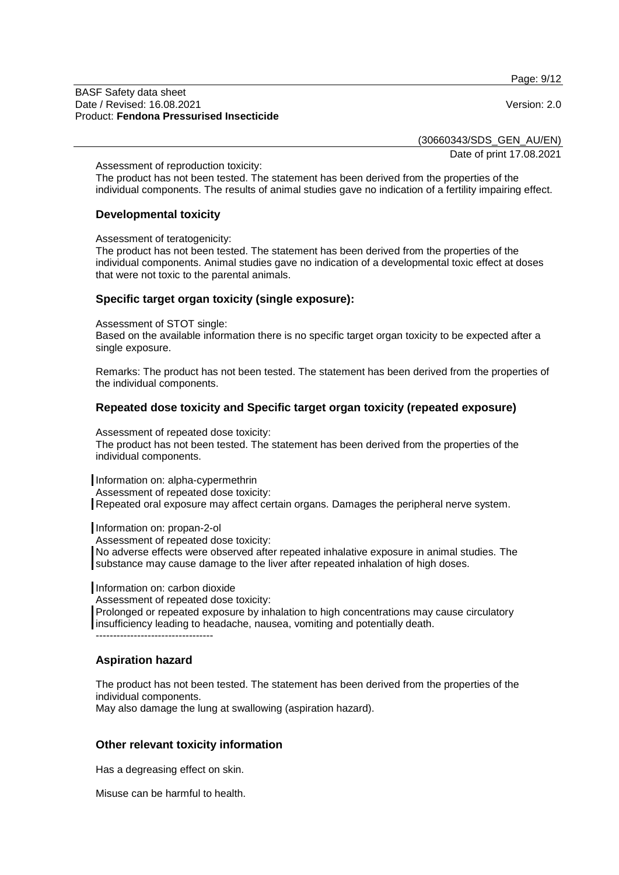Page: 9/12

#### BASF Safety data sheet Date / Revised: 16.08.2021 Version: 2.0 Product: **Fendona Pressurised Insecticide**

(30660343/SDS\_GEN\_AU/EN)

Date of print 17.08.2021

Assessment of reproduction toxicity:

The product has not been tested. The statement has been derived from the properties of the individual components. The results of animal studies gave no indication of a fertility impairing effect.

### **Developmental toxicity**

Assessment of teratogenicity:

The product has not been tested. The statement has been derived from the properties of the individual components. Animal studies gave no indication of a developmental toxic effect at doses that were not toxic to the parental animals.

### **Specific target organ toxicity (single exposure):**

Assessment of STOT single:

Based on the available information there is no specific target organ toxicity to be expected after a single exposure.

Remarks: The product has not been tested. The statement has been derived from the properties of the individual components.

### **Repeated dose toxicity and Specific target organ toxicity (repeated exposure)**

Assessment of repeated dose toxicity:

The product has not been tested. The statement has been derived from the properties of the individual components.

Information on: alpha-cypermethrin

Assessment of repeated dose toxicity:

Repeated oral exposure may affect certain organs. Damages the peripheral nerve system.

Information on: propan-2-ol

Assessment of repeated dose toxicity:

No adverse effects were observed after repeated inhalative exposure in animal studies. The substance may cause damage to the liver after repeated inhalation of high doses.

Information on: carbon dioxide

Assessment of repeated dose toxicity:

Prolonged or repeated exposure by inhalation to high concentrations may cause circulatory insufficiency leading to headache, nausea, vomiting and potentially death. ----------------------------------

# **Aspiration hazard**

The product has not been tested. The statement has been derived from the properties of the individual components. May also damage the lung at swallowing (aspiration hazard).

#### **Other relevant toxicity information**

Has a degreasing effect on skin.

Misuse can be harmful to health.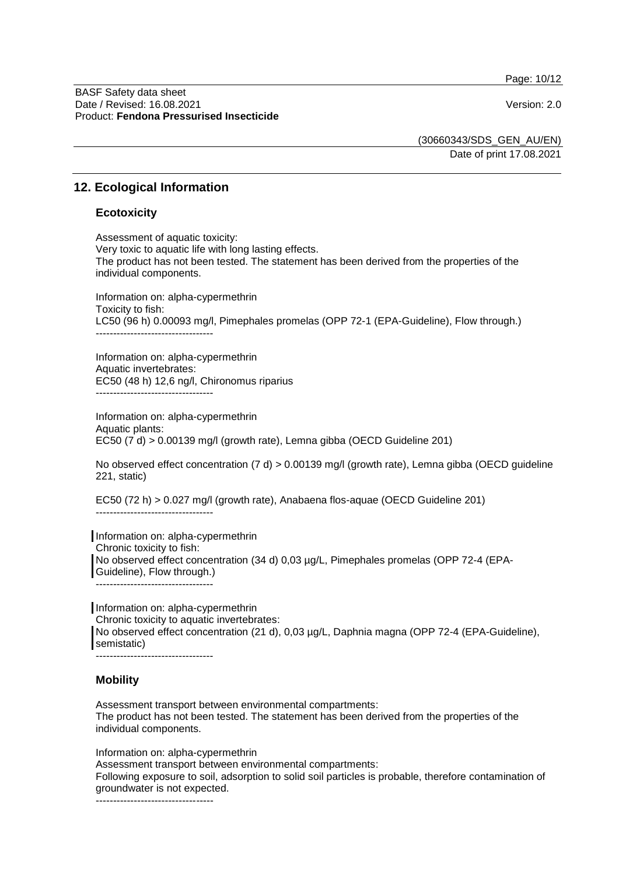Page: 10/12

#### BASF Safety data sheet Date / Revised: 16.08.2021 Version: 2.0 Product: **Fendona Pressurised Insecticide**

(30660343/SDS\_GEN\_AU/EN)

Date of print 17.08.2021

## **12. Ecological Information**

### **Ecotoxicity**

Assessment of aquatic toxicity: Very toxic to aquatic life with long lasting effects. The product has not been tested. The statement has been derived from the properties of the individual components.

Information on: alpha-cypermethrin Toxicity to fish: LC50 (96 h) 0.00093 mg/l, Pimephales promelas (OPP 72-1 (EPA-Guideline), Flow through.) ----------------------------------

Information on: alpha-cypermethrin Aquatic invertebrates: EC50 (48 h) 12,6 ng/l, Chironomus riparius ----------------------------------

Information on: alpha-cypermethrin Aquatic plants: EC50 (7 d) > 0.00139 mg/l (growth rate), Lemna gibba (OECD Guideline 201)

No observed effect concentration (7 d) > 0.00139 mg/l (growth rate), Lemna gibba (OECD guideline 221, static)

EC50 (72 h) > 0.027 mg/l (growth rate), Anabaena flos-aquae (OECD Guideline 201)

----------------------------------

Information on: alpha-cypermethrin Chronic toxicity to fish: No observed effect concentration (34 d) 0,03 µg/L, Pimephales promelas (OPP 72-4 (EPA-Guideline), Flow through.) ----------------------------------

Information on: alpha-cypermethrin Chronic toxicity to aquatic invertebrates: No observed effect concentration (21 d), 0,03 µg/L, Daphnia magna (OPP 72-4 (EPA-Guideline), semistatic)

----------------------------------

## **Mobility**

Assessment transport between environmental compartments: The product has not been tested. The statement has been derived from the properties of the individual components.

Information on: alpha-cypermethrin

Assessment transport between environmental compartments:

Following exposure to soil, adsorption to solid soil particles is probable, therefore contamination of groundwater is not expected.

----------------------------------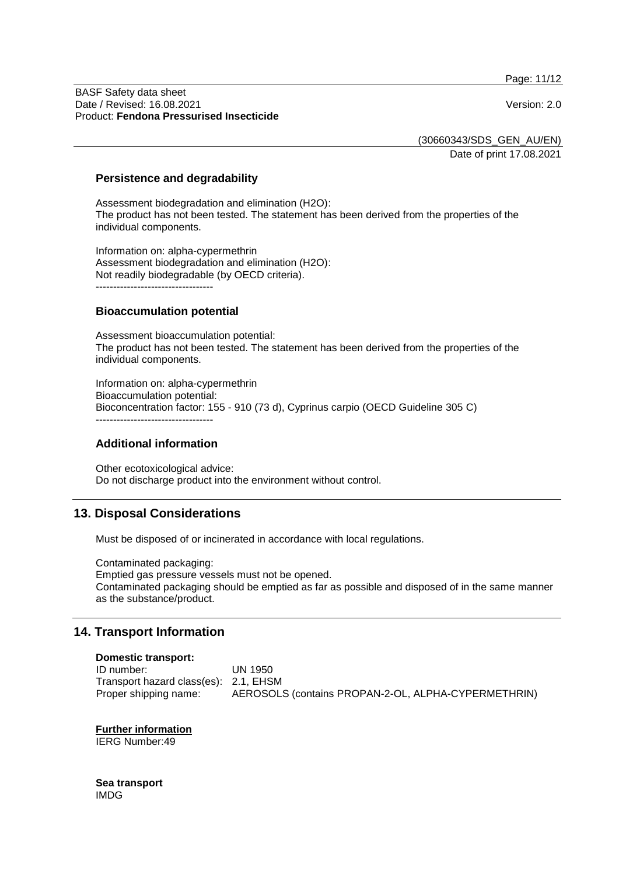Page: 11/12

#### BASF Safety data sheet Date / Revised: 16.08.2021 Version: 2.0 Product: **Fendona Pressurised Insecticide**

(30660343/SDS\_GEN\_AU/EN)

Date of print 17.08.2021

#### **Persistence and degradability**

Assessment biodegradation and elimination (H2O): The product has not been tested. The statement has been derived from the properties of the individual components.

Information on: alpha-cypermethrin Assessment biodegradation and elimination (H2O): Not readily biodegradable (by OECD criteria). ----------------------------------

### **Bioaccumulation potential**

Assessment bioaccumulation potential: The product has not been tested. The statement has been derived from the properties of the individual components.

Information on: alpha-cypermethrin Bioaccumulation potential: Bioconcentration factor: 155 - 910 (73 d), Cyprinus carpio (OECD Guideline 305 C) ----------------------------------

## **Additional information**

Other ecotoxicological advice: Do not discharge product into the environment without control.

# **13. Disposal Considerations**

Must be disposed of or incinerated in accordance with local regulations.

Contaminated packaging: Emptied gas pressure vessels must not be opened. Contaminated packaging should be emptied as far as possible and disposed of in the same manner as the substance/product.

# **14. Transport Information**

#### **Domestic transport:**

ID number: UN 1950 Transport hazard class(es): 2.1, EHSM Proper shipping name: AEROSOLS (contains PROPAN-2-OL, ALPHA-CYPERMETHRIN)

**Further information** IERG Number:49

**Sea transport** IMDG